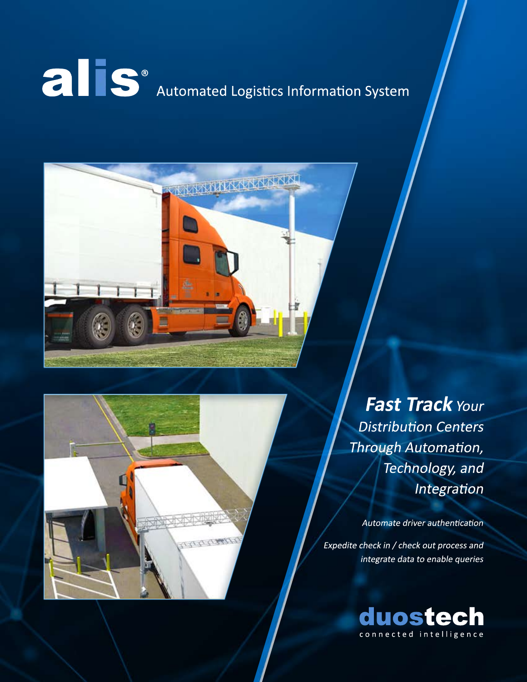# **Call S**<sup>®</sup><br>Automated Logistics Information System



Fast Track Your **Distribution Centers** Through Automation, Technology, and Integration

Automate driver authentication

Expedite check in / check out process and integrate data to enable queries